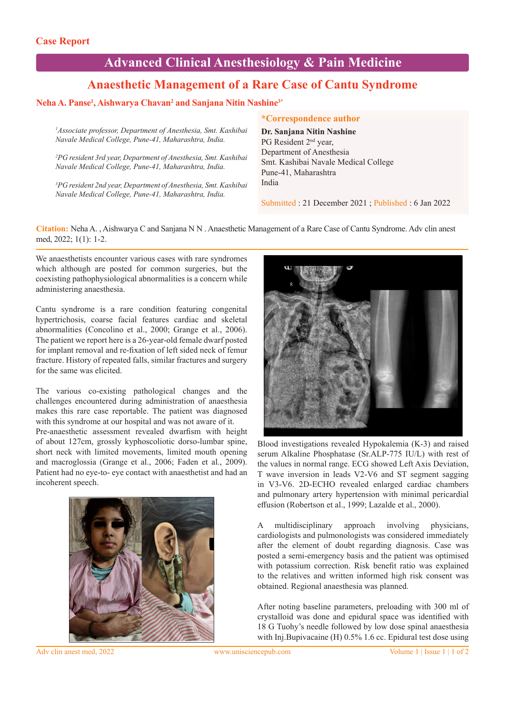# **Advanced Clinical Anesthesiology & Pain Medicine**

# **Anaesthetic Management of a Rare Case of Cantu Syndrome**

# **Neha A. Panse1 , Aishwarya Chavan2 and Sanjana Nitin Nashine3\***

*1 Associate professor, Department of Anesthesia, Smt. Kashibai Navale Medical College, Pune-41, Maharashtra, India.* 

*2 PG resident 3rd year, Department of Anesthesia, Smt. Kashibai Navale Medical College, Pune-41, Maharashtra, India.* 

*3 PG resident 2nd year, Department of Anesthesia, Smt. Kashibai Navale Medical College, Pune-41, Maharashtra, India.*

#### **\*Correspondence author**

**Dr. Sanjana Nitin Nashine** PG Resident 2nd year, Department of Anesthesia Smt. Kashibai Navale Medical College Pune-41, Maharashtra India

Submitted : 21 December 2021 ; Published : 6 Jan 2022

**Citation:** Neha A. , Aishwarya C and Sanjana N N . Anaesthetic Management of a Rare Case of Cantu Syndrome. Adv clin anest med, 2022; 1(1): 1-2.

We anaesthetists encounter various cases with rare syndromes which although are posted for common surgeries, but the coexisting pathophysiological abnormalities is a concern while administering anaesthesia.

Cantu syndrome is a rare condition featuring congenital hypertrichosis, coarse facial features cardiac and skeletal abnormalities (Concolino et al., 2000; Grange et al., 2006). The patient we report here is a 26-year-old female dwarf posted for implant removal and re-fixation of left sided neck of femur fracture. History of repeated falls, similar fractures and surgery for the same was elicited.

The various co-existing pathological changes and the challenges encountered during administration of anaesthesia makes this rare case reportable. The patient was diagnosed with this syndrome at our hospital and was not aware of it.

Pre-anaesthetic assessment revealed dwarfism with height of about 127cm, grossly kyphoscoliotic dorso-lumbar spine, short neck with limited movements, limited mouth opening and macroglossia (Grange et al., 2006; Faden et al., 2009). Patient had no eye-to- eye contact with anaesthetist and had an incoherent speech.





Blood investigations revealed Hypokalemia (K-3) and raised serum Alkaline Phosphatase (Sr.ALP-775 IU/L) with rest of the values in normal range. ECG showed Left Axis Deviation, T wave inversion in leads V2-V6 and ST segment sagging in V3-V6. 2D-ECHO revealed enlarged cardiac chambers and pulmonary artery hypertension with minimal pericardial effusion (Robertson et al., 1999; Lazalde et al., 2000).

A multidisciplinary approach involving physicians, cardiologists and pulmonologists was considered immediately after the element of doubt regarding diagnosis. Case was posted a semi-emergency basis and the patient was optimised with potassium correction. Risk benefit ratio was explained to the relatives and written informed high risk consent was obtained. Regional anaesthesia was planned.

After noting baseline parameters, preloading with 300 ml of crystalloid was done and epidural space was identified with 18 G Tuohy's needle followed by low dose spinal anaesthesia with Inj.Bupivacaine (H) 0.5% 1.6 cc. Epidural test dose using